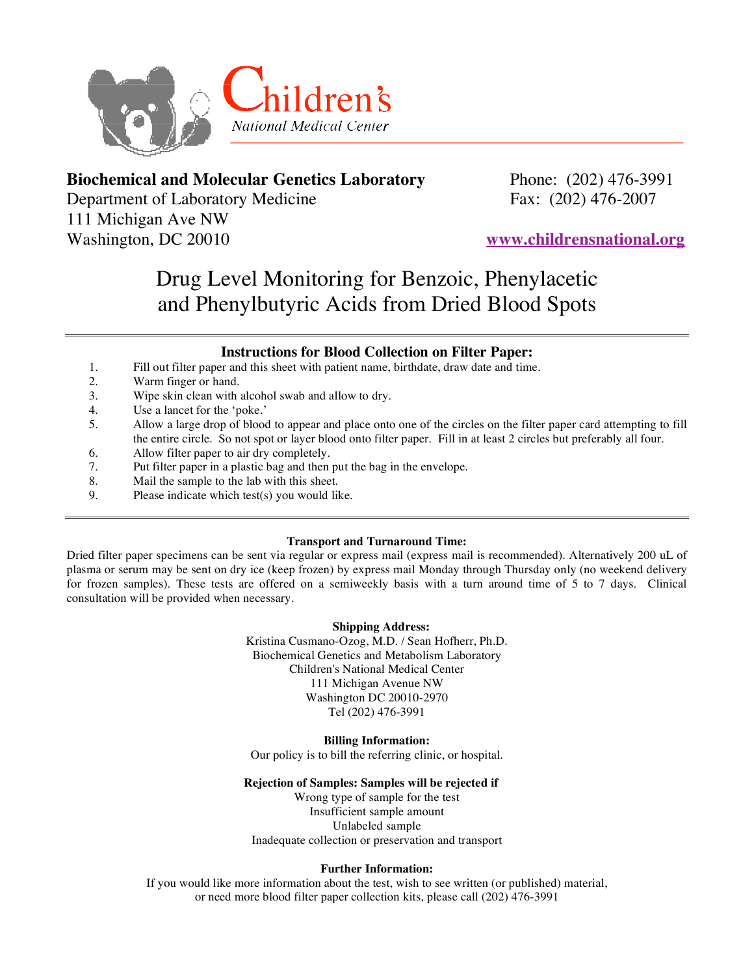

## **Biochemical and Molecular Genetics Laboratory** Phone: (202) 476-3991

Department of Laboratory Medicine Fax: (202) 476-2007 111 Michigan Ave NW Washington, DC 20010 **www.childrensnational.org**

# Drug Level Monitoring for Benzoic, Phenylacetic and Phenylbutyric Acids from Dried Blood Spots

### **Instructions for Blood Collection on Filter Paper:**

- 1. Fill out filter paper and this sheet with patient name, birthdate, draw date and time.
- 2. Warm finger or hand.
- 3. Wipe skin clean with alcohol swab and allow to dry.
- 4. Use a lancet for the 'poke.'
- 5. Allow a large drop of blood to appear and place onto one of the circles on the filter paper card attempting to fill the entire circle. So not spot or layer blood onto filter paper. Fill in at least 2 circles but preferably all four.
- 6. Allow filter paper to air dry completely.
- 7. Put filter paper in a plastic bag and then put the bag in the envelope.
- 8. Mail the sample to the lab with this sheet.
- 9. Please indicate which test(s) you would like.

#### **Transport and Turnaround Time:**

Dried filter paper specimens can be sent via regular or express mail (express mail is recommended). Alternatively 200 uL of plasma or serum may be sent on dry ice (keep frozen) by express mail Monday through Thursday only (no weekend delivery for frozen samples). These tests are offered on a semiweekly basis with a turn around time of 5 to 7 days. Clinical consultation will be provided when necessary.

#### **Shipping Address:**

Kristina Cusmano-Ozog, M.D. / Sean Hofherr, Ph.D. Biochemical Genetics and Metabolism Laboratory Children's National Medical Center 111 Michigan Avenue NW Washington DC 20010-2970 Tel (202) 476-3991

#### **Billing Information:**

Our policy is to bill the referring clinic, or hospital.

#### **Rejection of Samples: Samples will be rejected if**

Wrong type of sample for the test Insufficient sample amount Unlabeled sample Inadequate collection or preservation and transport

#### **Further Information:**

If you would like more information about the test, wish to see written (or published) material, or need more blood filter paper collection kits, please call (202) 476-3991